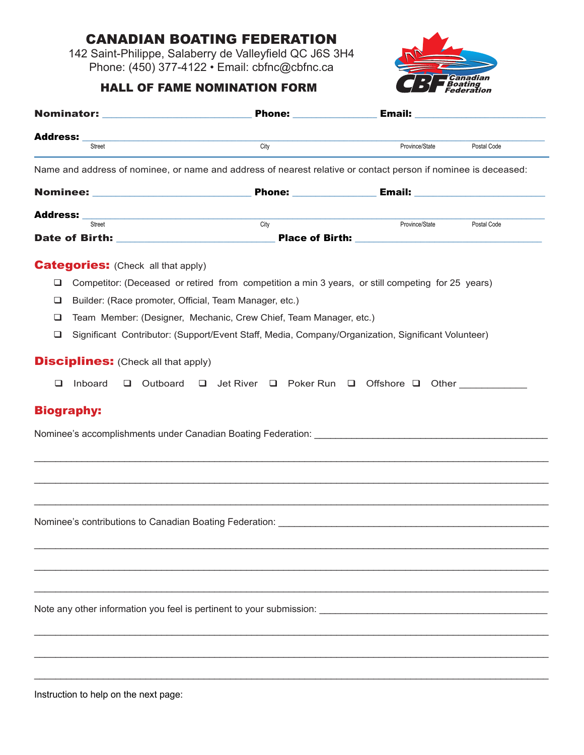## Canadian Boating Federation

142 Saint-Philippe, Salaberry de Valleyfield QC J6S 3H4 Phone: (450) 377-4122 • Email: cbfnc@cbfnc.ca

## HALL OF FAME NOMINATION FORM



|                                                                                                                                     |                                                                                                    |                | <b>Email:</b> The contract of the contract of the contract of the contract of the contract of the contract of the contract of the contract of the contract of the contract of the contract of the contract of the contract of the c |
|-------------------------------------------------------------------------------------------------------------------------------------|----------------------------------------------------------------------------------------------------|----------------|-------------------------------------------------------------------------------------------------------------------------------------------------------------------------------------------------------------------------------------|
| <b>Address:</b><br>Street                                                                                                           | City                                                                                               | Province/State | Postal Code                                                                                                                                                                                                                         |
| Name and address of nominee, or name and address of nearest relative or contact person if nominee is deceased:                      |                                                                                                    |                |                                                                                                                                                                                                                                     |
|                                                                                                                                     |                                                                                                    |                |                                                                                                                                                                                                                                     |
| Address: _<br><u> 1980 - Johann Barn, mars ann an t-Amhain an t-Amhain an t-Amhain an t-Amhain an t-Amhain an t-Amhain an t-Amh</u> |                                                                                                    |                |                                                                                                                                                                                                                                     |
| Street                                                                                                                              | City                                                                                               | Province/State | Postal Code                                                                                                                                                                                                                         |
| <b>Categories:</b> (Check all that apply)<br>Q.                                                                                     | Competitor: (Deceased or retired from competition a min 3 years, or still competing for 25 years)  |                |                                                                                                                                                                                                                                     |
| Builder: (Race promoter, Official, Team Manager, etc.)<br>⊔                                                                         |                                                                                                    |                |                                                                                                                                                                                                                                     |
| □                                                                                                                                   | Team Member: (Designer, Mechanic, Crew Chief, Team Manager, etc.)                                  |                |                                                                                                                                                                                                                                     |
| $\Box$                                                                                                                              | Significant Contributor: (Support/Event Staff, Media, Company/Organization, Significant Volunteer) |                |                                                                                                                                                                                                                                     |
| <b>Disciplines:</b> (Check all that apply)                                                                                          |                                                                                                    |                |                                                                                                                                                                                                                                     |
| Inboard<br>Outboard<br>❏<br>$\Box$                                                                                                  | Jet River $\Box$ Poker Run $\Box$ Offshore $\Box$ Other<br>$\Box$                                  |                |                                                                                                                                                                                                                                     |
| <b>Biography:</b>                                                                                                                   |                                                                                                    |                |                                                                                                                                                                                                                                     |
|                                                                                                                                     |                                                                                                    |                |                                                                                                                                                                                                                                     |
|                                                                                                                                     |                                                                                                    |                |                                                                                                                                                                                                                                     |
|                                                                                                                                     |                                                                                                    |                |                                                                                                                                                                                                                                     |
|                                                                                                                                     |                                                                                                    |                |                                                                                                                                                                                                                                     |
| Nominee's contributions to Canadian Boating Federation: North Canadian Boating Contributions of the Canadian Boating Federation:    |                                                                                                    |                |                                                                                                                                                                                                                                     |
|                                                                                                                                     |                                                                                                    |                |                                                                                                                                                                                                                                     |
|                                                                                                                                     |                                                                                                    |                |                                                                                                                                                                                                                                     |
|                                                                                                                                     |                                                                                                    |                |                                                                                                                                                                                                                                     |
| Note any other information you feel is pertinent to your submission:                                                                |                                                                                                    |                |                                                                                                                                                                                                                                     |
|                                                                                                                                     |                                                                                                    |                |                                                                                                                                                                                                                                     |
|                                                                                                                                     |                                                                                                    |                |                                                                                                                                                                                                                                     |
|                                                                                                                                     |                                                                                                    |                |                                                                                                                                                                                                                                     |
|                                                                                                                                     |                                                                                                    |                |                                                                                                                                                                                                                                     |

Instruction to help on the next page: